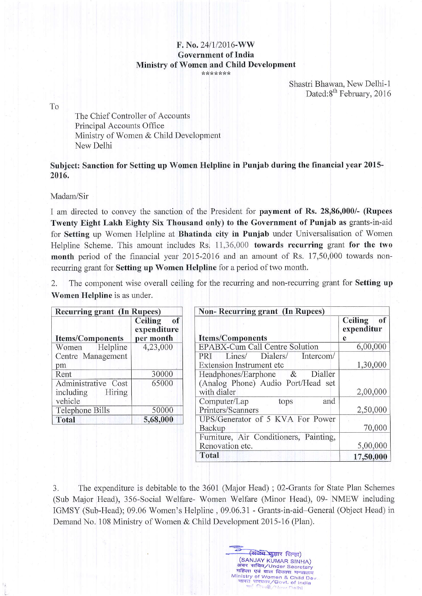## $F. No. 24/1/2016-WW$ Government of India Ministry of Women and Child Development \*\*\*\*\*\*\*

Shastri Bhawan, New Delhi-1 Dated:8<sup>th</sup> February, 2016

To

The Chief Controller of Accounts Principal Accounts Office Ministry of Women & Child Development New Delhi

## Subject: Sanction for Setting up Women Helpline in Punjab during the financial year 2015-2016.

Madam/Sir

I am directed to convey the sanction of the President for payment of Rs. 28,86,000/- (Rupees Twenty Eight Lakh Eighty Six Thousand only) to the Government of Punjab as grants-in-aid for Setting up Women Helpline at Bhatinda city in Punjab under Universalisation of Women Helpline Scheme. This amount includes Rs.  $11,36,000$  towards recurring grant for the two month period of the financial year  $2015-2016$  and an amount of Rs. 17,50,000 towards nonrecurring grant for Setting up Women Helpline for a period of two month.

2. The component wise overall ceiling for the recurring and non-recurring grant for **Setting up** Women Helpline is as under.

| <b>Recurring grant (In Rupees)</b>                    |                                           |  |
|-------------------------------------------------------|-------------------------------------------|--|
| <b>Items/Components</b>                               | Ceiling<br>of<br>expenditure<br>per month |  |
| Women Helpline                                        | 4,23,000                                  |  |
| Centre Management<br>pm                               |                                           |  |
| Rent                                                  | 30000                                     |  |
| Administrative Cost<br>including<br>Hiring<br>vehicle | 65000                                     |  |
| Telephone Bills                                       | 50000                                     |  |
| Total                                                 | 5,68,000                                  |  |

| Non-Recurring grant (In Rupees)                                                                 |                                         |  |  |
|-------------------------------------------------------------------------------------------------|-----------------------------------------|--|--|
| <b>Items/Components</b>                                                                         | <b>Ceiling</b><br>of<br>expenditur<br>e |  |  |
| EPABX-Cum Call Centre Solution                                                                  | 6,00,000                                |  |  |
| Dialers/<br>Lines/<br>Intercom/<br>PRI<br><b>Extension Instrument etc</b>                       | 1,30,000                                |  |  |
| Dialler<br>Headphones/Earphone<br>$\alpha$<br>(Analog Phone) Audio Port/Head set<br>with dialer | 2,00,000                                |  |  |
| Computer/Lap<br>and<br>tops<br>Printers/Scanners                                                | 2,50,000                                |  |  |
| UPS/Generator of 5 KVA For Power<br>Backup                                                      | 70,000                                  |  |  |
| Furniture, Air Conditioners, Painting,<br>Renovation etc.                                       | 5,00,000                                |  |  |
| Total                                                                                           | 17,50,000                               |  |  |

(संजेय जुमार सिन्हा) (SANJAY KUMAR SINHA) sra सचिव/Under Secretary<br>अवर सचिव/Under Secretary Ministry of Women & Child Dev

3. The expenditure is debitable to the 3601 (Major Head); 02-Grants for State Plan Schemes (Sub Major Head), 356-Social Welfare- Women Welfare (Minor Head), 09- NMEW including IGMSY (Sub-Flead); 09.06 Women's Helpline , 09.06.31 - Grants-in-aid-General (Object Head) in Demand No. 108 Ministry of Women & Child Development 2015-16 (Plan).